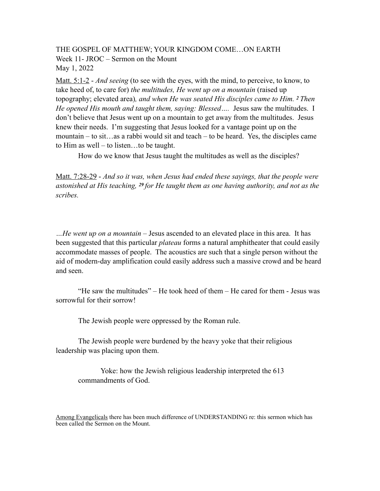## THE GOSPEL OF MATTHEW; YOUR KINGDOM COME…ON EARTH Week 11- JROC – Sermon on the Mount May 1, 2022

Matt. 5:1-2 - *And seeing* (to see with the eyes, with the mind, to perceive, to know, to take heed of, to care for) *the multitudes, He went up on a mountain* (raised up topography; elevated area)*, and when He was seated His disciples came to Him. 2 Then He opened His mouth and taught them, saying: Blessed….* Jesus saw the multitudes. I don't believe that Jesus went up on a mountain to get away from the multitudes. Jesus knew their needs. I'm suggesting that Jesus looked for a vantage point up on the mountain – to sit…as a rabbi would sit and teach – to be heard. Yes, the disciples came to Him as well – to listen…to be taught.

How do we know that Jesus taught the multitudes as well as the disciples?

Matt. 7:28-29 - *And so it was, when Jesus had ended these sayings, that the people were astonished at His teaching, 29 for He taught them as one having authority, and not as the scribes.* 

*…He went up on a mountain* – Jesus ascended to an elevated place in this area. It has been suggested that this particular *plateau* forms a natural amphitheater that could easily accommodate masses of people. The acoustics are such that a single person without the aid of modern-day amplification could easily address such a massive crowd and be heard and seen.

 "He saw the multitudes" – He took heed of them – He cared for them - Jesus was sorrowful for their sorrow!

The Jewish people were oppressed by the Roman rule.

 The Jewish people were burdened by the heavy yoke that their religious leadership was placing upon them.

Yoke: how the Jewish religious leadership interpreted the 613 commandments of God.

Among Evangelicals there has been much difference of UNDERSTANDING re: this sermon which has been called the Sermon on the Mount.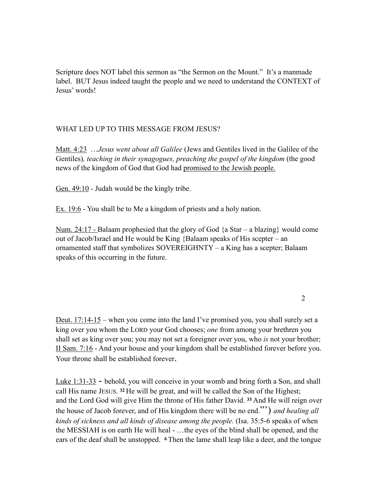Scripture does NOT label this sermon as "the Sermon on the Mount." It's a manmade label. BUT Jesus indeed taught the people and we need to understand the CONTEXT of Jesus' words!

## WHAT LED UP TO THIS MESSAGE FROM JESUS?

Matt. 4:23 …*Jesus went about all Galilee* (Jews and Gentiles lived in the Galilee of the Gentiles), teaching in their synagogues, preaching the gospel of the kingdom (the good news of the kingdom of God that God had promised to the Jewish people.

Gen. 49:10 - Judah would be the kingly tribe.

Ex. 19:6 - You shall be to Me a kingdom of priests and a holy nation.

Num. 24:17 - Balaam prophesied that the glory of God  $\{a \text{ Star} - a \text{ blazing}\}\$  would come out of Jacob/Israel and He would be King {Balaam speaks of His scepter – an ornamented staff that symbolizes SOVEREIGHNTY – a King has a scepter; Balaam speaks of this occurring in the future.

2

Deut.  $17:14-15$  – when you come into the land I've promised you, you shall surely set a king over you whom the LORD your God chooses; *one* from among your brethren you shall set as king over you; you may not set a foreigner over you, who *is* not your brother; II Sam. 7:16 - And your house and your kingdom shall be established forever before you. Your throne shall be established forever.

Luke 1:31-33 - behold, you will conceive in your womb and bring forth a Son, and shall call His name JESUS. **32** He will be great, and will be called the Son of the Highest; and the Lord God will give Him the throne of His father David. **33** And He will reign over the house of Jacob forever, and of His kingdom there will be no end."') *and healing all kinds of sickness and all kinds of disease among the people.* (Isa. 35:5-6 speaks of when the MESSIAH is on earth He will heal - …the eyes of the blind shall be opened, and the ears of the deaf shall be unstopped. **6** Then the lame shall leap like a deer, and the tongue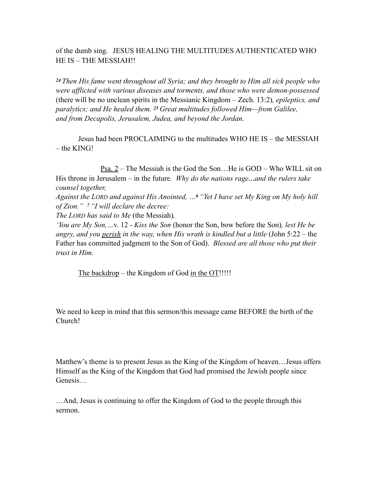of the dumb sing. JESUS HEALING THE MULTITUDES AUTHENTICATED WHO HE IS – THE MESSIAH!!

*<sup>24</sup>Then His fame went throughout all Syria; and they brought to Him all sick people who were afflicted with various diseases and torments, and those who were demon-possessed*  (there will be no unclean spirits in the Messianic Kingdom – Zech. 13:2)*, epileptics, and paralytics; and He healed them. 25 Great multitudes followed Him—from Galilee, and from Decapolis, Jerusalem, Judea, and beyond the Jordan*.

Jesus had been PROCLAIMING to the multitudes WHO HE IS – the MESSIAH – the KING!

Psa. 2 – The Messiah is the God the Son…He is GOD – Who WILL sit on His throne in Jerusalem – in the future. *Why do the nations rage*…*and the rulers take counsel together,*

*Against the LORD and against His Anointed, …6 "Yet I have set My King on My holy hill of Zion." 7 "I will declare the decree:*

*The LORD has said to Me* (the Messiah)*,*

*'You are My Son,…*v. 12 - *Kiss the Son* (honor the Son, bow before the Son)*, lest He be*  angry, and you <u>perish</u> in the way, when His wrath is kindled but a little (John 5:22 – the Father has committed judgment to the Son of God). *Blessed are all those who put their trust in Him.* 

The backdrop – the Kingdom of God in the OT!!!!!

We need to keep in mind that this sermon/this message came BEFORE the birth of the Church!

Matthew's theme is to present Jesus as the King of the Kingdom of heaven…Jesus offers Himself as the King of the Kingdom that God had promised the Jewish people since Genesis…

…And, Jesus is continuing to offer the Kingdom of God to the people through this sermon.